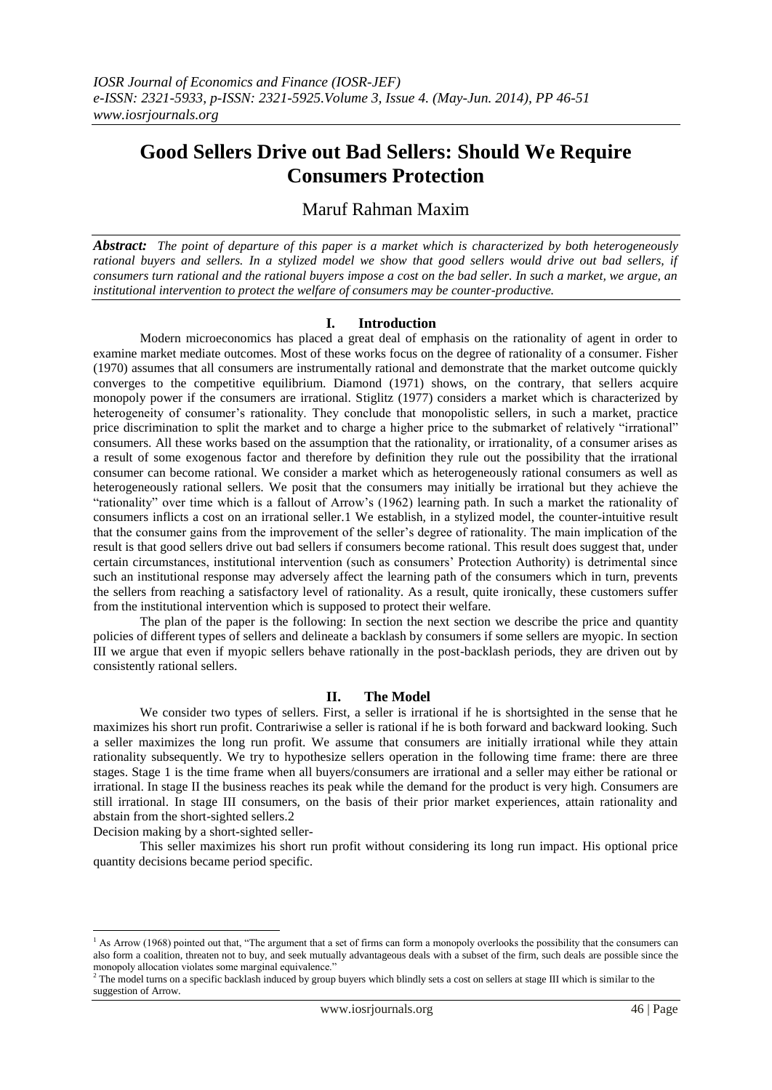# **Good Sellers Drive out Bad Sellers: Should We Require Consumers Protection**

# Maruf Rahman Maxim

*Abstract: The point of departure of this paper is a market which is characterized by both heterogeneously rational buyers and sellers. In a stylized model we show that good sellers would drive out bad sellers, if consumers turn rational and the rational buyers impose a cost on the bad seller. In such a market, we argue, an institutional intervention to protect the welfare of consumers may be counter-productive.*

### **I. Introduction**

Modern microeconomics has placed a great deal of emphasis on the rationality of agent in order to examine market mediate outcomes. Most of these works focus on the degree of rationality of a consumer. Fisher (1970) assumes that all consumers are instrumentally rational and demonstrate that the market outcome quickly converges to the competitive equilibrium. Diamond (1971) shows, on the contrary, that sellers acquire monopoly power if the consumers are irrational. Stiglitz (1977) considers a market which is characterized by heterogeneity of consumer's rationality. They conclude that monopolistic sellers, in such a market, practice price discrimination to split the market and to charge a higher price to the submarket of relatively "irrational" consumers. All these works based on the assumption that the rationality, or irrationality, of a consumer arises as a result of some exogenous factor and therefore by definition they rule out the possibility that the irrational consumer can become rational. We consider a market which as heterogeneously rational consumers as well as heterogeneously rational sellers. We posit that the consumers may initially be irrational but they achieve the "rationality" over time which is a fallout of Arrow's (1962) learning path. In such a market the rationality of consumers inflicts a cost on an irrational seller.1 We establish, in a stylized model, the counter-intuitive result that the consumer gains from the improvement of the seller's degree of rationality. The main implication of the result is that good sellers drive out bad sellers if consumers become rational. This result does suggest that, under certain circumstances, institutional intervention (such as consumers' Protection Authority) is detrimental since such an institutional response may adversely affect the learning path of the consumers which in turn, prevents the sellers from reaching a satisfactory level of rationality. As a result, quite ironically, these customers suffer from the institutional intervention which is supposed to protect their welfare.

The plan of the paper is the following: In section the next section we describe the price and quantity policies of different types of sellers and delineate a backlash by consumers if some sellers are myopic. In section III we argue that even if myopic sellers behave rationally in the post-backlash periods, they are driven out by consistently rational sellers.

#### **II. The Model**

We consider two types of sellers. First, a seller is irrational if he is shortsighted in the sense that he maximizes his short run profit. Contrariwise a seller is rational if he is both forward and backward looking. Such a seller maximizes the long run profit. We assume that consumers are initially irrational while they attain rationality subsequently. We try to hypothesize sellers operation in the following time frame: there are three stages. Stage 1 is the time frame when all buyers/consumers are irrational and a seller may either be rational or irrational. In stage II the business reaches its peak while the demand for the product is very high. Consumers are still irrational. In stage III consumers, on the basis of their prior market experiences, attain rationality and abstain from the short-sighted sellers.2

Decision making by a short-sighted seller-

<u>.</u>

This seller maximizes his short run profit without considering its long run impact. His optional price quantity decisions became period specific.

<sup>&</sup>lt;sup>1</sup> As Arrow (1968) pointed out that, "The argument that a set of firms can form a monopoly overlooks the possibility that the consumers can also form a coalition, threaten not to buy, and seek mutually advantageous deals with a subset of the firm, such deals are possible since the monopoly allocation violates some marginal equivalence."

 $<sup>2</sup>$  The model turns on a specific backlash induced by group buyers which blindly sets a cost on sellers at stage III which is similar to the</sup> suggestion of Arrow.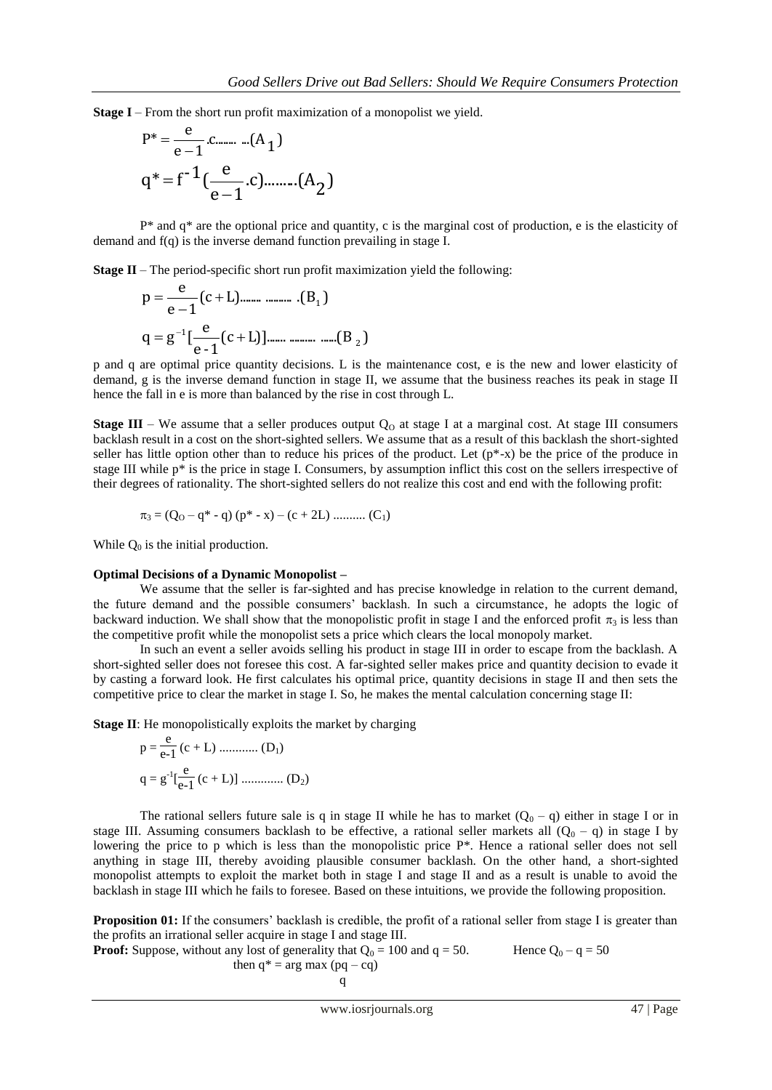**Stage I** – From the short run profit maximization of a monopolist we yield.

$$
P^* = \frac{e}{e-1} . \dots . (A_1)
$$
  
 
$$
q^* = f^{-1} \left( \frac{e}{e-1} . c \right) . \dots . (A_2)
$$

 $P^*$  and  $q^*$  are the optional price and quantity, c is the marginal cost of production, e is the elasticity of demand and f(q) is the inverse demand function prevailing in stage I.

**Stage II** – The period-specific short run profit maximization yield the following:

$$
p = \frac{e}{e-1}(c+L) \dots \dots \dots \dots \dots (B_1)
$$
  
q = g<sup>-1</sup>[ $\frac{e}{e-1}$ (c+L)] \dots \dots \dots \dots \dots \dots (B\_2)

p and q are optimal price quantity decisions. L is the maintenance cost, e is the new and lower elasticity of demand, g is the inverse demand function in stage II, we assume that the business reaches its peak in stage II hence the fall in e is more than balanced by the rise in cost through L.

**Stage III** – We assume that a seller produces output  $Q_0$  at stage I at a marginal cost. At stage III consumers backlash result in a cost on the short-sighted sellers. We assume that as a result of this backlash the short-sighted seller has little option other than to reduce his prices of the product. Let  $(p^*-x)$  be the price of the produce in stage III while  $p^*$  is the price in stage I. Consumers, by assumption inflict this cost on the sellers irrespective of their degrees of rationality. The short-sighted sellers do not realize this cost and end with the following profit:

$$
\pi_3 = (Q_0 - q^* - q) (p^* - x) - (c + 2L) \dots (C_1)
$$

While  $Q_0$  is the initial production.

#### **Optimal Decisions of a Dynamic Monopolist –**

We assume that the seller is far-sighted and has precise knowledge in relation to the current demand, the future demand and the possible consumers' backlash. In such a circumstance, he adopts the logic of backward induction. We shall show that the monopolistic profit in stage I and the enforced profit  $\pi_3$  is less than the competitive profit while the monopolist sets a price which clears the local monopoly market.

In such an event a seller avoids selling his product in stage III in order to escape from the backlash. A short-sighted seller does not foresee this cost. A far-sighted seller makes price and quantity decision to evade it by casting a forward look. He first calculates his optimal price, quantity decisions in stage II and then sets the competitive price to clear the market in stage I. So, he makes the mental calculation concerning stage II:

**Stage II**: He monopolistically exploits the market by charging

$$
p = \frac{e}{e-1} (c + L) \dots (D_1)
$$
  
q = g<sup>-1</sup>[ $\frac{e}{e-1}$  (c + L)] ... (D<sub>2</sub>)

The rational sellers future sale is q in stage II while he has to market  $(Q_0 - q)$  either in stage I or in stage III. Assuming consumers backlash to be effective, a rational seller markets all  $(Q_0 - q)$  in stage I by lowering the price to p which is less than the monopolistic price P\*. Hence a rational seller does not sell anything in stage III, thereby avoiding plausible consumer backlash. On the other hand, a short-sighted monopolist attempts to exploit the market both in stage I and stage II and as a result is unable to avoid the backlash in stage III which he fails to foresee. Based on these intuitions, we provide the following proposition.

**Proposition 01:** If the consumers' backlash is credible, the profit of a rational seller from stage I is greater than the profits an irrational seller acquire in stage I and stage III.

**Proof:** Suppose, without any lost of generality that 
$$
Q_0 = 100
$$
 and  $q = 50$ .  
 Hence  $Q_0 - q = 50$  then  $q^* = \arg \max (pq - cq)$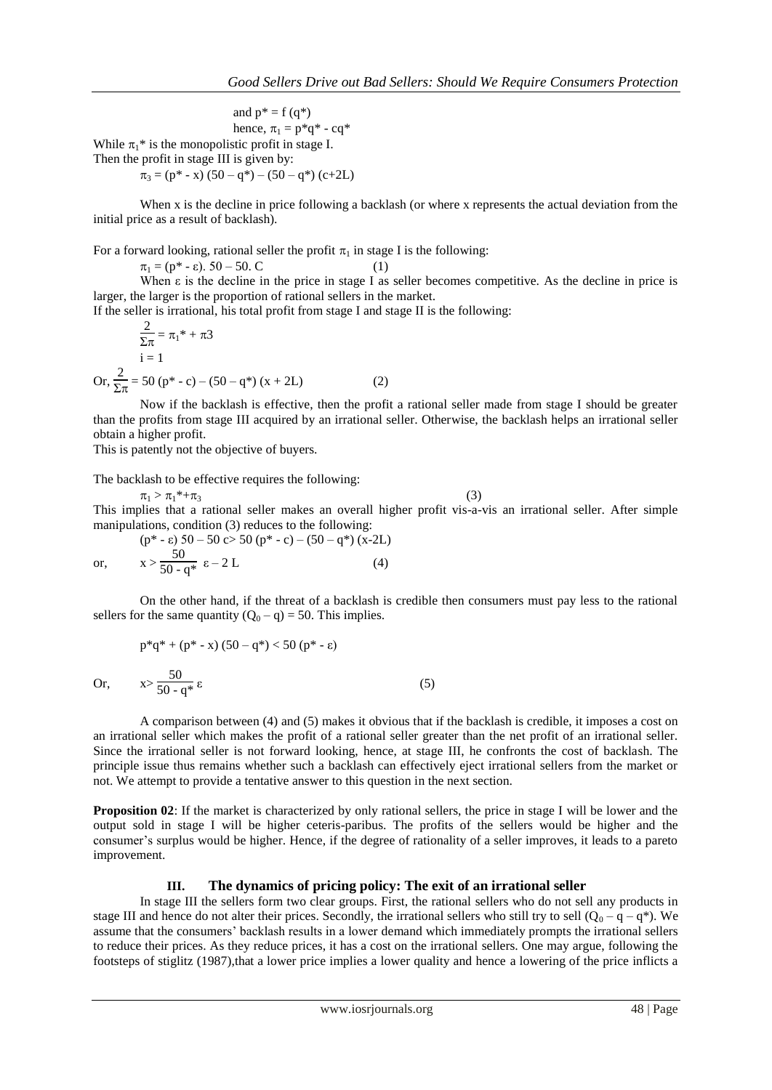and  $p^* = f(q^*)$ hence,  $\pi_1 = p^*q^*$  - cq<sup>\*</sup> While  $\pi_1^*$  is the monopolistic profit in stage I.

Then the profit in stage III is given by:

$$
\pi_3 = (p^* - x) (50 - q^*) - (50 - q^*) (c + 2L)
$$

When x is the decline in price following a backlash (or where x represents the actual deviation from the initial price as a result of backlash).

For a forward looking, rational seller the profit  $\pi_1$  in stage I is the following:

 $\pi_1 = (\mathbf{p}^* - \varepsilon). 50 - 50. \mathbf{C}$  (1)

When ε is the decline in the price in stage I as seller becomes competitive. As the decline in price is larger, the larger is the proportion of rational sellers in the market.

If the seller is irrational, his total profit from stage I and stage II is the following:  $\Omega$ 

$$
\frac{2}{\sum \pi} = \pi_1^* + \pi_3
$$
  
i = 1  
Or, 
$$
\frac{2}{\sum \pi} = 50 \text{ (p* - c)} - (50 - q^*) \text{ (x + 2L)}
$$
 (2)

Now if the backlash is effective, then the profit a rational seller made from stage I should be greater than the profits from stage III acquired by an irrational seller. Otherwise, the backlash helps an irrational seller obtain a higher profit.

This is patently not the objective of buyers.

The backlash to be effective requires the following:

 $\pi_1 > \pi_1^* + \pi_3$  (3)

This implies that a rational seller makes an overall higher profit vis-a-vis an irrational seller. After simple manipulations, condition (3) reduces to the following:

$$
(p^* - \varepsilon) 50 - 50 c > 50 (p^* - c) - (50 - q^*) (x - 2L)
$$
  
or, 
$$
x > \frac{50}{50 - q^*} \varepsilon - 2L
$$
 (4)

On the other hand, if the threat of a backlash is credible then consumers must pay less to the rational sellers for the same quantity  $(Q_0 - q) = 50$ . This implies.

$$
p^*q^* + (p^* - x) (50 - q^*) < 50 (p^* - \varepsilon)
$$
  
Or, 
$$
x > \frac{50}{50 - q^*} \varepsilon
$$
 (5)

A comparison between (4) and (5) makes it obvious that if the backlash is credible, it imposes a cost on an irrational seller which makes the profit of a rational seller greater than the net profit of an irrational seller. Since the irrational seller is not forward looking, hence, at stage III, he confronts the cost of backlash. The principle issue thus remains whether such a backlash can effectively eject irrational sellers from the market or not. We attempt to provide a tentative answer to this question in the next section.

**Proposition 02:** If the market is characterized by only rational sellers, the price in stage I will be lower and the output sold in stage I will be higher ceteris-paribus. The profits of the sellers would be higher and the consumer's surplus would be higher. Hence, if the degree of rationality of a seller improves, it leads to a pareto improvement.

## **III. The dynamics of pricing policy: The exit of an irrational seller**

In stage III the sellers form two clear groups. First, the rational sellers who do not sell any products in stage III and hence do not alter their prices. Secondly, the irrational sellers who still try to sell  $(Q_0 - q - q^*)$ . We assume that the consumers' backlash results in a lower demand which immediately prompts the irrational sellers to reduce their prices. As they reduce prices, it has a cost on the irrational sellers. One may argue, following the footsteps of stiglitz (1987),that a lower price implies a lower quality and hence a lowering of the price inflicts a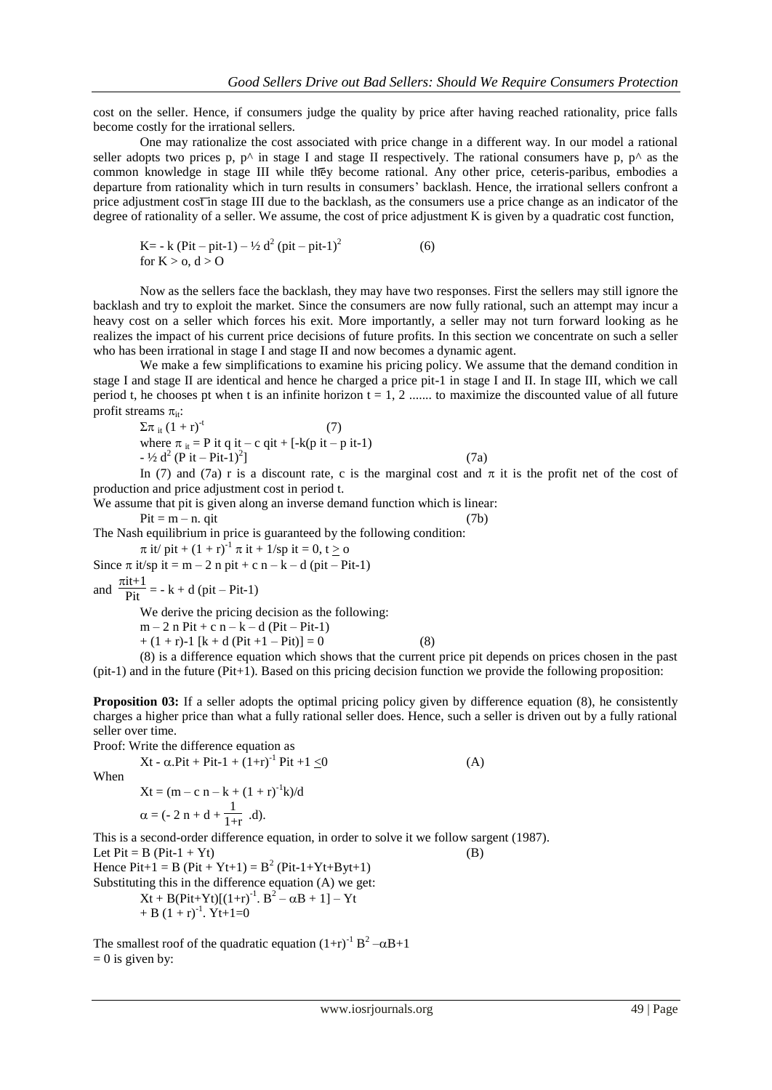cost on the seller. Hence, if consumers judge the quality by price after having reached rationality, price falls become costly for the irrational sellers.

One may rationalize the cost associated with price change in a different way. In our model a rational seller adopts two prices p,  $p^{\wedge}$  in stage I and stage II respectively. The rational consumers have p,  $p^{\wedge}$  as the common knowledge in stage III while they become rational. Any other price, ceteris-paribus, embodies a departure from rationality which in turn results in consumers' backlash. Hence, the irrational sellers confront a price adjustment cost in stage III due to the backlash, as the consumers use a price change as an indicator of the degree of rationality of a seller. We assume, the cost of price adjustment K is given by a quadratic cost function,

K= - k (Pit – pit-1) – ½ d<sup>2</sup> (pit – pit-1)<sup>2</sup> (6) for K > o, d > O

Now as the sellers face the backlash, they may have two responses. First the sellers may still ignore the backlash and try to exploit the market. Since the consumers are now fully rational, such an attempt may incur a heavy cost on a seller which forces his exit. More importantly, a seller may not turn forward looking as he realizes the impact of his current price decisions of future profits. In this section we concentrate on such a seller who has been irrational in stage I and stage II and now becomes a dynamic agent.

We make a few simplifications to examine his pricing policy. We assume that the demand condition in stage I and stage II are identical and hence he charged a price pit-1 in stage I and II. In stage III, which we call period t, he chooses pt when t is an infinite horizon  $t = 1, 2, \ldots$  to maximize the discounted value of all future profit streams  $\pi_{it}$ :

$$
\Sigma \pi_{it} (1+r)^{-t} \qquad (7)
$$
  
where  $\pi_{it} = P$  it q it – c qit + [-k(p it – p it-1)  
-  $\frac{1}{2}$  d<sup>2</sup> (P it – Pit-1)<sup>2</sup>] (7a)

In (7) and (7a) r is a discount rate, c is the marginal cost and  $\pi$  it is the profit net of the cost of production and price adjustment cost in period t.

We assume that pit is given along an inverse demand function which is linear:

$$
Pit = m - n. qit
$$
 (7b)

The Nash equilibrium in price is guaranteed by the following condition:

 $\pi$  it/ pit +  $(1 + r)^{-1}$   $\pi$  it + 1/sp it = 0, t  $\geq$  o

Since  $\pi$  it/sp it = m – 2 n pit + c n – k – d (pit – Pit-1)

and  $\frac{\pi i t+1}{\text{Pit}}$  = - k + d (pit – Pit-1)

We derive the pricing decision as the following:

 $m - 2 n Pit + c n - k - d (Pit - Pit-1)$ 

 $+(1 + r)-1 [k + d (Pit +1 - Pit)] = 0$  (8)

(8) is a difference equation which shows that the current price pit depends on prices chosen in the past (pit-1) and in the future (Pit+1). Based on this pricing decision function we provide the following proposition:

**Proposition 03:** If a seller adopts the optimal pricing policy given by difference equation (8), he consistently charges a higher price than what a fully rational seller does. Hence, such a seller is driven out by a fully rational seller over time.

Proof: Write the difference equation as

 $Xt - \alpha.Pit + Pit-1 + (1+r)^{-1} Pit + 1 \le 0$  (A) When  $Xt = (m - c n - k + (1 + r)^{-1}k)/d$  $\alpha = (-2 \text{ n} + \text{d} + \frac{1}{1+r} \text{ d}).$ This is a second-order difference equation, in order to solve it we follow sargent (1987). Let  $Pit = B (Pit-1 + Yt)$  (B) Hence  $Pit+1 = B (Pit + Yt+1) = B<sup>2</sup> (Pit-1+Yt+Byt+1)$ Substituting this in the difference equation (A) we get:  $Xt + B(Pit+Yt)[(1+r)^{-1}$ .  $B^2 - \alpha B + 1] - Yt$ 

$$
+ B (1+r)^{-1}.\ Yt+1=0
$$

The smallest roof of the quadratic equation  $(1+r)^{-1}B^2 - \alpha B + 1$  $= 0$  is given by: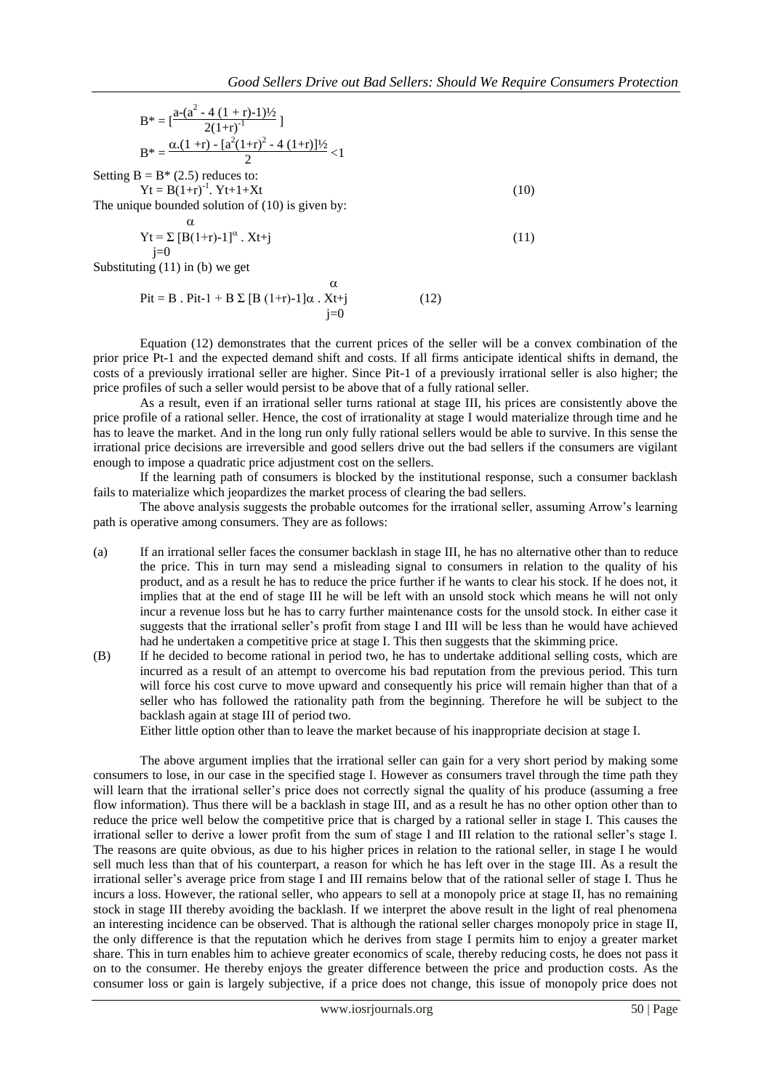$$
B^* = \left[\frac{a - (a^2 - 4(1+r)-1)\frac{1}{2}}{2(1+r)^{-1}}\right]
$$
  
\n
$$
B^* = \frac{\alpha.(1+r) - [a^2(1+r)^2 - 4(1+r)]\frac{1}{2}}{2} < 1
$$
  
\nSetting B = B\* (2.5) reduces to:  
\n
$$
Yt = B(1+r)^{-1}. Yt + 1+Xt
$$
  
\nThe unique bounded solution of (10) is given by:  
\n
$$
\alpha
$$
  
\n
$$
Yt = \sum [B(1+r)-1]^{\alpha}. Xt+j
$$
\n(11)

Substituting  $(11)$  in  $(b)$  we get

 $\alpha$  $Pit = B$ .  $Pit-1 + B \Sigma [B (1+r)-1] \alpha$ .  $Xt+j$  (12)  $i=0$ 

Equation (12) demonstrates that the current prices of the seller will be a convex combination of the prior price Pt-1 and the expected demand shift and costs. If all firms anticipate identical shifts in demand, the costs of a previously irrational seller are higher. Since Pit-1 of a previously irrational seller is also higher; the price profiles of such a seller would persist to be above that of a fully rational seller.

As a result, even if an irrational seller turns rational at stage III, his prices are consistently above the price profile of a rational seller. Hence, the cost of irrationality at stage I would materialize through time and he has to leave the market. And in the long run only fully rational sellers would be able to survive. In this sense the irrational price decisions are irreversible and good sellers drive out the bad sellers if the consumers are vigilant enough to impose a quadratic price adjustment cost on the sellers.

If the learning path of consumers is blocked by the institutional response, such a consumer backlash fails to materialize which jeopardizes the market process of clearing the bad sellers.

The above analysis suggests the probable outcomes for the irrational seller, assuming Arrow's learning path is operative among consumers. They are as follows:

- (a) If an irrational seller faces the consumer backlash in stage III, he has no alternative other than to reduce the price. This in turn may send a misleading signal to consumers in relation to the quality of his product, and as a result he has to reduce the price further if he wants to clear his stock. If he does not, it implies that at the end of stage III he will be left with an unsold stock which means he will not only incur a revenue loss but he has to carry further maintenance costs for the unsold stock. In either case it suggests that the irrational seller's profit from stage I and III will be less than he would have achieved had he undertaken a competitive price at stage I. This then suggests that the skimming price.
- (B) If he decided to become rational in period two, he has to undertake additional selling costs, which are incurred as a result of an attempt to overcome his bad reputation from the previous period. This turn will force his cost curve to move upward and consequently his price will remain higher than that of a seller who has followed the rationality path from the beginning. Therefore he will be subject to the backlash again at stage III of period two.

Either little option other than to leave the market because of his inappropriate decision at stage I.

The above argument implies that the irrational seller can gain for a very short period by making some consumers to lose, in our case in the specified stage I. However as consumers travel through the time path they will learn that the irrational seller's price does not correctly signal the quality of his produce (assuming a free flow information). Thus there will be a backlash in stage III, and as a result he has no other option other than to reduce the price well below the competitive price that is charged by a rational seller in stage I. This causes the irrational seller to derive a lower profit from the sum of stage I and III relation to the rational seller's stage I. The reasons are quite obvious, as due to his higher prices in relation to the rational seller, in stage I he would sell much less than that of his counterpart, a reason for which he has left over in the stage III. As a result the irrational seller's average price from stage I and III remains below that of the rational seller of stage I. Thus he incurs a loss. However, the rational seller, who appears to sell at a monopoly price at stage II, has no remaining stock in stage III thereby avoiding the backlash. If we interpret the above result in the light of real phenomena an interesting incidence can be observed. That is although the rational seller charges monopoly price in stage II, the only difference is that the reputation which he derives from stage I permits him to enjoy a greater market share. This in turn enables him to achieve greater economics of scale, thereby reducing costs, he does not pass it on to the consumer. He thereby enjoys the greater difference between the price and production costs. As the consumer loss or gain is largely subjective, if a price does not change, this issue of monopoly price does not